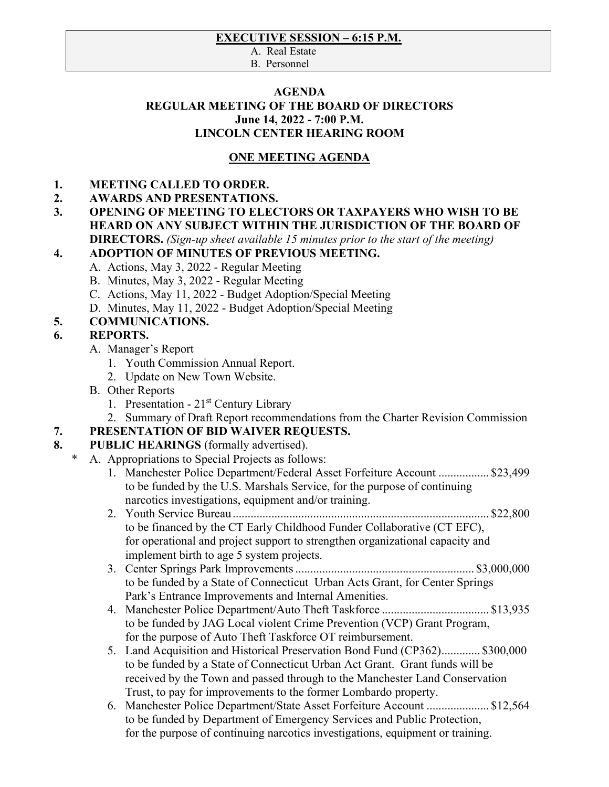#### **EXECUTIVE SESSION – 6:15 P.M.**

A. Real Estate

B. Personnel

#### **AGENDA REGULAR MEETING OF THE BOARD OF DIRECTORS June 14, 2022 - 7:00 P.M. LINCOLN CENTER HEARING ROOM**

# **ONE MEETING AGENDA**

#### **1. MEETING CALLED TO ORDER.**

- **2. AWARDS AND PRESENTATIONS.**
- **3. OPENING OF MEETING TO ELECTORS OR TAXPAYERS WHO WISH TO BE HEARD ON ANY SUBJECT WITHIN THE JURISDICTION OF THE BOARD OF DIRECTORS.** *(Sign-up sheet available 15 minutes prior to the start of the meeting)*

#### **4. ADOPTION OF MINUTES OF PREVIOUS MEETING.**

- A. Actions, May 3, 2022 Regular Meeting
- B. Minutes, May 3, 2022 Regular Meeting
- C. Actions, May 11, 2022 Budget Adoption/Special Meeting
- D. Minutes, May 11, 2022 Budget Adoption/Special Meeting

## **5. COMMUNICATIONS.**

## **6. REPORTS.**

- A. Manager's Report
	- 1. Youth Commission Annual Report.
	- 2. Update on New Town Website.
- B. Other Reports
	- 1. Presentation  $21<sup>st</sup>$  Century Library
	- 2. Summary of Draft Report recommendations from the Charter Revision Commission

## **7. PRESENTATION OF BID WAIVER REQUESTS.**

- **8.** PUBLIC HEARINGS (formally advertised).
	- A. Appropriations to Special Projects as follows:
		- 1. Manchester Police Department/Federal Asset Forfeiture Account ................. \$23,499 to be funded by the U.S. Marshals Service, for the purpose of continuing narcotics investigations, equipment and/or training.
		- 2. Youth Service Bureau ...................................................................................... \$22,800 to be financed by the CT Early Childhood Funder Collaborative (CT EFC), for operational and project support to strengthen organizational capacity and implement birth to age 5 system projects.
		- 3. Center Springs Park Improvements ............................................................ \$3,000,000 to be funded by a State of Connecticut Urban Acts Grant, for Center Springs Park's Entrance Improvements and Internal Amenities.
		- 4. Manchester Police Department/Auto Theft Taskforce .................................... \$13,935 to be funded by JAG Local violent Crime Prevention (VCP) Grant Program, for the purpose of Auto Theft Taskforce OT reimbursement.
		- 5. Land Acquisition and Historical Preservation Bond Fund (CP362) ............. \$300,000 to be funded by a State of Connecticut Urban Act Grant. Grant funds will be received by the Town and passed through to the Manchester Land Conservation Trust, to pay for improvements to the former Lombardo property.
		- 6. Manchester Police Department/State Asset Forfeiture Account ..................... \$12,564 to be funded by Department of Emergency Services and Public Protection, for the purpose of continuing narcotics investigations, equipment or training.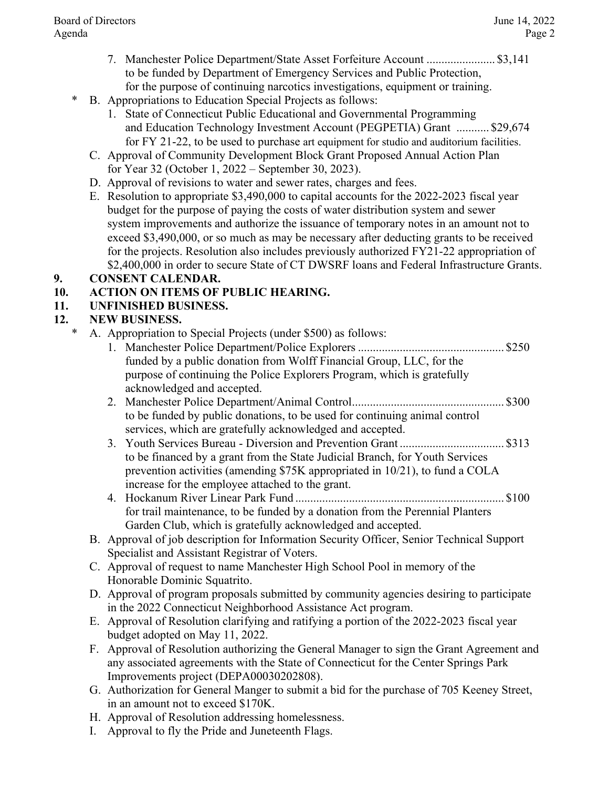- 7. Manchester Police Department/State Asset Forfeiture Account ....................... \$3,141 to be funded by Department of Emergency Services and Public Protection, for the purpose of continuing narcotics investigations, equipment or training.
- B. Appropriations to Education Special Projects as follows:
	- 1. State of Connecticut Public Educational and Governmental Programming and Education Technology Investment Account (PEGPETIA) Grant ........... \$29,674 for FY 21-22, to be used to purchase art equipment for studio and auditorium facilities.
	- C. Approval of Community Development Block Grant Proposed Annual Action Plan for Year 32 (October 1, 2022 – September 30, 2023).
	- D. Approval of revisions to water and sewer rates, charges and fees.
	- E. Resolution to appropriate \$3,490,000 to capital accounts for the 2022-2023 fiscal year budget for the purpose of paying the costs of water distribution system and sewer system improvements and authorize the issuance of temporary notes in an amount not to exceed \$3,490,000, or so much as may be necessary after deducting grants to be received for the projects. Resolution also includes previously authorized FY21-22 appropriation of \$2,400,000 in order to secure State of CT DWSRF loans and Federal Infrastructure Grants.

## **9. CONSENT CALENDAR.**

# **10. ACTION ON ITEMS OF PUBLIC HEARING.**

# **11. UNFINISHED BUSINESS.**

# **12. NEW BUSINESS.**

- \* A. Appropriation to Special Projects (under \$500) as follows:
	- 1. Manchester Police Department/Police Explorers ................................................. \$250 funded by a public donation from Wolff Financial Group, LLC, for the purpose of continuing the Police Explorers Program, which is gratefully acknowledged and accepted.
	- 2. Manchester Police Department/Animal Control ................................................... \$300 to be funded by public donations, to be used for continuing animal control services, which are gratefully acknowledged and accepted.
	- 3. Youth Services Bureau Diversion and Prevention Grant ................................... \$313 to be financed by a grant from the State Judicial Branch, for Youth Services prevention activities (amending \$75K appropriated in 10/21), to fund a COLA increase for the employee attached to the grant.
	- 4. Hockanum River Linear Park Fund ...................................................................... \$100 for trail maintenance, to be funded by a donation from the Perennial Planters Garden Club, which is gratefully acknowledged and accepted.
	- B. Approval of job description for Information Security Officer, Senior Technical Support Specialist and Assistant Registrar of Voters.
	- C. Approval of request to name Manchester High School Pool in memory of the Honorable Dominic Squatrito.
	- D. Approval of program proposals submitted by community agencies desiring to participate in the 2022 Connecticut Neighborhood Assistance Act program.
	- E. Approval of Resolution clarifying and ratifying a portion of the 2022-2023 fiscal year budget adopted on May 11, 2022.
	- F. Approval of Resolution authorizing the General Manager to sign the Grant Agreement and any associated agreements with the State of Connecticut for the Center Springs Park Improvements project (DEPA00030202808).
	- G. Authorization for General Manger to submit a bid for the purchase of 705 Keeney Street, in an amount not to exceed \$170K.
	- H. Approval of Resolution addressing homelessness.
	- I. Approval to fly the Pride and Juneteenth Flags.